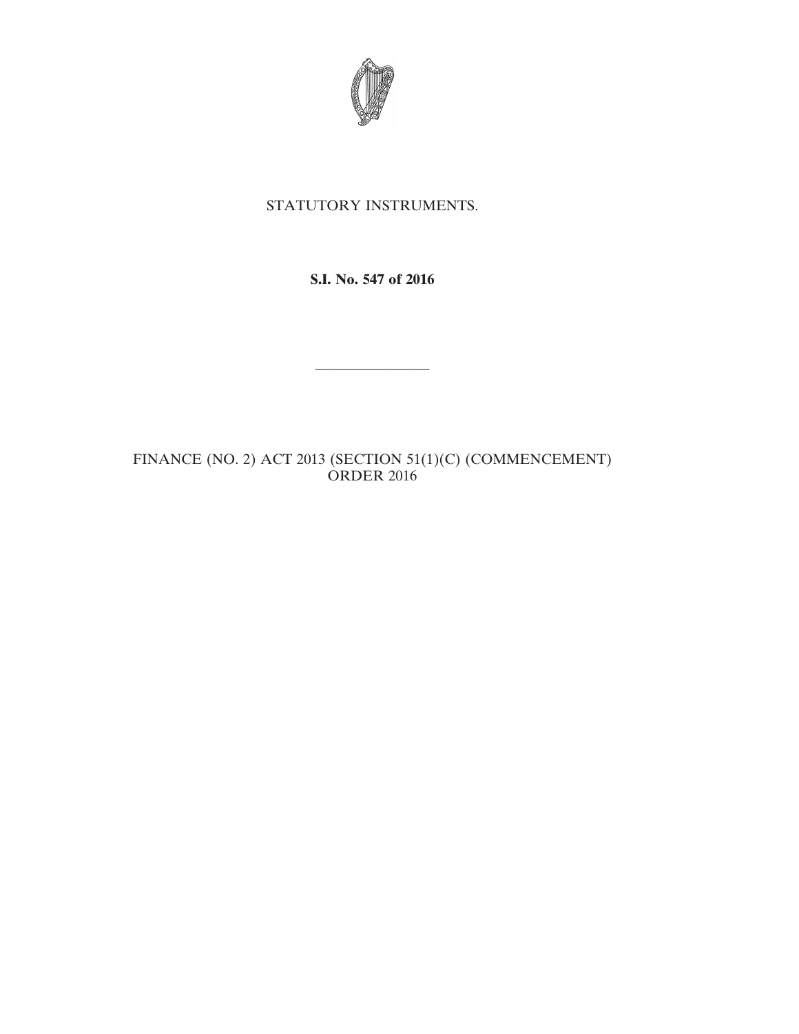

## STATUTORY INSTRUMENTS.

**S.I. No. 547 of 2016**

————————

FINANCE (NO. 2) ACT 2013 (SECTION 51(1)(C) (COMMENCEMENT) ORDER 2016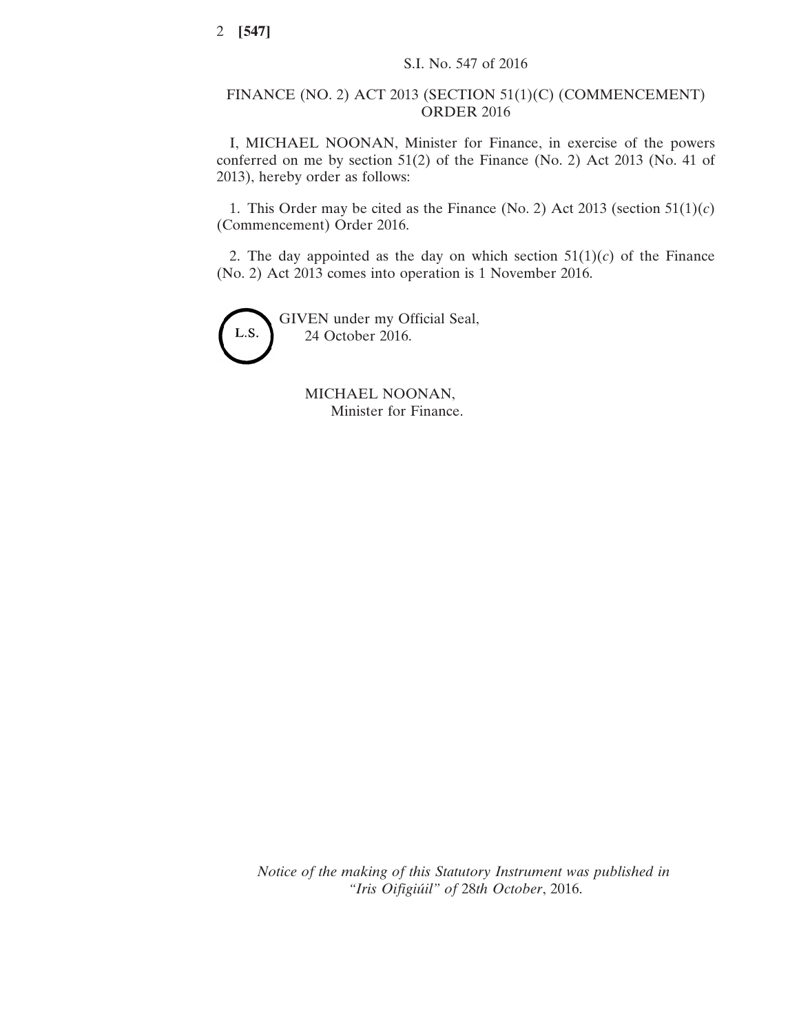## FINANCE (NO. 2) ACT 2013 (SECTION 51(1)(C) (COMMENCEMENT) ORDER 2016

I, MICHAEL NOONAN, Minister for Finance, in exercise of the powers conferred on me by section 51(2) of the Finance (No. 2) Act 2013 (No. 41 of 2013), hereby order as follows:

1. This Order may be cited as the Finance (No. 2) Act 2013 (section  $51(1)(c)$ ) (Commencement) Order 2016.

2. The day appointed as the day on which section  $51(1)(c)$  of the Finance (No. 2) Act 2013 comes into operation is 1 November 2016.



MICHAEL NOONAN, Minister for Finance.

*Notice of the making of this Statutory Instrument was published in "Iris Oifigiúil" of* 28*th October*, 2016.